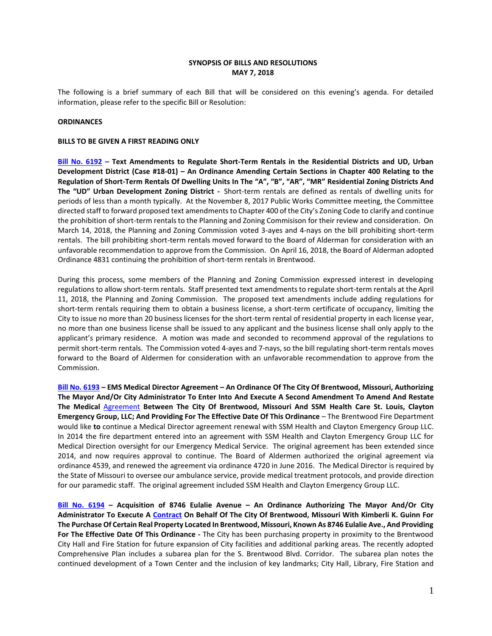## **SYNOPSIS OF BILLS AND RESOLUTIONS MAY 7, 2018**

The following is a brief summary of each Bill that will be considered on this evening's agenda. For detailed information, please refer to the specific Bill or Resolution:

### **ORDINANCES**

### **BILLS TO BE GIVEN A FIRST READING ONLY**

**[Bill No. 6192](http://www.brentwoodmo.org/DocumentCenter/View/23308) – Text Amendments to Regulate Short-Term Rentals in the Residential Districts and UD, Urban Development District (Case #18-01) – An Ordinance Amending Certain Sections in Chapter 400 Relating to the Regulation of Short-Term Rentals Of Dwelling Units In The "A", "B", "AR", "MR" Residential Zoning Districts And The "UD" Urban Development Zoning District -** Short-term rentals are defined as rentals of dwelling units for periods of less than a month typically. At the November 8, 2017 Public Works Committee meeting, the Committee directed staff to forward proposed text amendments to Chapter 400 of the City's Zoning Code to clarify and continue the prohibition of short-term rentals to the Planning and Zoning Commisison for their review and consideration. On March 14, 2018, the Planning and Zoning Commission voted 3-ayes and 4-nays on the bill prohibiting short-term rentals. The bill prohibiting short-term rentals moved forward to the Board of Alderman for consideration with an unfavorable recommendation to approve from the Commission. On April 16, 2018, the Board of Alderman adopted Ordinance 4831 continuing the prohibition of short-term rentals in Brentwood.

During this process, some members of the Planning and Zoning Commission expressed interest in developing regulations to allow short-term rentals. Staff presented text amendments to regulate short-term rentals at the April 11, 2018, the Planning and Zoning Commission. The proposed text amendments include adding regulations for short-term rentals requiring them to obtain a business license, a short-term certificate of occupancy, limiting the City to issue no more than 20 business licenses for the short-term rental of residential property in each license year, no more than one business license shall be issued to any applicant and the business license shall only apply to the applicant's primary residence. A motion was made and seconded to recommend approval of the regulations to permit short-term rentals. The Commission voted 4-ayes and 7-nays, so the bill regulating short-term rentals moves forward to the Board of Aldermen for consideration with an unfavorable recommendation to approve from the Commission.

**[Bill No. 6193](http://www.brentwoodmo.org/DocumentCenter/View/23309) – EMS Medical Director Agreement – An Ordinance Of The City Of Brentwood, Missouri, Authorizing The Mayor And/Or City Administrator To Enter Into And Execute A Second Amendment To Amend And Restate The Medical** [Agreement](http://www.brentwoodmo.org/DocumentCenter/View/23306) **Between The City Of Brentwood, Missouri And SSM Health Care St. Louis, Clayton Emergency Group, LLC; And Providing For The Effective Date Of This Ordinance** – The Brentwood Fire Department would like **to** continue a Medical Director agreement renewal with SSM Health and Clayton Emergency Group LLC. In 2014 the fire department entered into an agreement with SSM Health and Clayton Emergency Group LLC for Medical Direction oversight for our Emergency Medical Service. The original agreement has been extended since 2014, and now requires approval to continue. The Board of Aldermen authorized the original agreement via ordinance 4539, and renewed the agreement via ordinance 4720 in June 2016. The Medical Director is required by the State of Missouri to oversee our ambulance service, provide medical treatment protocols, and provide direction for our paramedic staff. The original agreement included SSM Health and Clayton Emergency Group LLC.

**[Bill No. 6194](http://www.brentwoodmo.org/DocumentCenter/View/23312) – Acquisition of 8746 Eulalie Avenue – An Ordinance Authorizing The Mayor And/Or City Administrator To Execute A [Contract](http://www.brentwoodmo.org/DocumentCenter/View/23313) On Behalf Of The City Of Brentwood, Missouri With Kimberli K. Guinn For The Purchase Of Certain Real Property Located In Brentwood, Missouri, Known As 8746 Eulalie Ave., And Providing For The Effective Date Of This Ordinance -** The City has been purchasing property in proximity to the Brentwood City Hall and Fire Station for future expansion of City facilities and additional parking areas. The recently adopted Comprehensive Plan includes a subarea plan for the S. Brentwood Blvd. Corridor. The subarea plan notes the continued development of a Town Center and the inclusion of key landmarks; City Hall, Library, Fire Station and